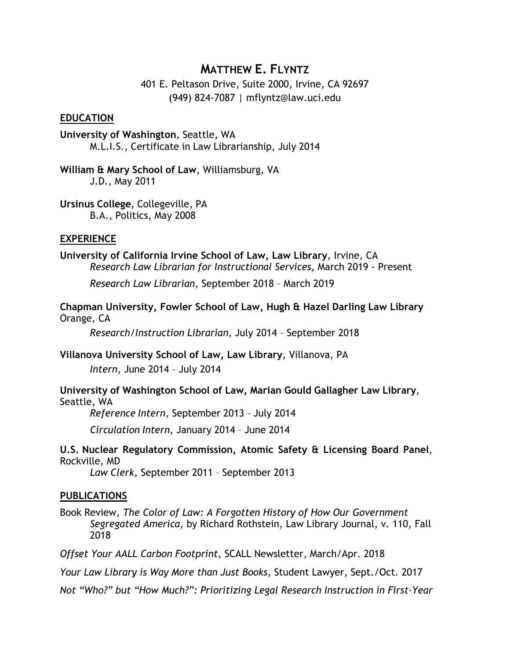# **MATTHEW E. FLYNTZ**

401 E. Peltason Drive, Suite 2000, Irvine, CA 92697 (949) 824-7087 | mflyntz@law.uci.edu

#### **EDUCATION**

**University of Washington**, Seattle, WA M.L.I.S., Certificate in Law Librarianship, July 2014

**William & Mary School of Law**, Williamsburg, VA J.D., May 2011

**Ursinus College**, Collegeville, PA B.A., Politics, May 2008

### **EXPERIENCE**

**University of California Irvine School of Law, Law Library**, Irvine, CA *Research Law Librarian for Instructional Services*, March 2019 - Present

*Research Law Librarian*, September 2018 – March 2019

**Chapman University, Fowler School of Law, Hugh & Hazel Darling Law Library** Orange, CA

*Research/Instruction Librarian*, July 2014 – September 2018

**Villanova University School of Law, Law Library**, Villanova, PA *Intern*, June 2014 – July 2014

**University of Washington School of Law, Marian Gould Gallagher Law Library**, Seattle, WA

*Reference Intern*, September 2013 – July 2014

*Circulation Intern*, January 2014 – June 2014

**U.S. Nuclear Regulatory Commission, Atomic Safety & Licensing Board Panel**, Rockville, MD

*Law Clerk*, September 2011 – September 2013

### **PUBLICATIONS**

Book Review, *The Color of Law: A Forgotten History of How Our Government Segregated America*, by Richard Rothstein, Law Library Journal, v. 110, Fall 2018

*Offset Your AALL Carbon Footprint*, SCALL Newsletter, March/Apr. 2018

*Your Law Library is Way More than Just Books*, Student Lawyer, Sept./Oct. 2017

*Not "Who?" but "How Much?": Prioritizing Legal Research Instruction in First-Year*